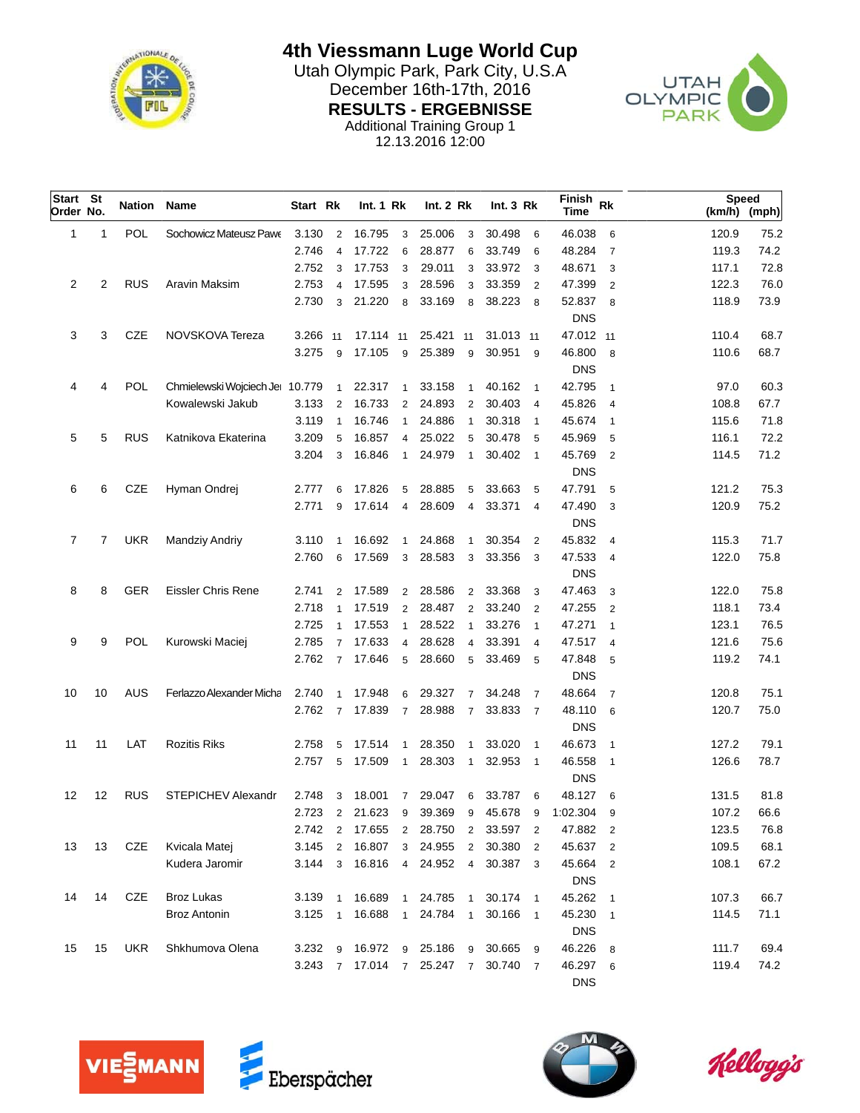

**4th Viessmann Luge World Cup** Utah Olympic Park, Park City, U.S.A December 16th-17th, 2016

**RESULTS - ERGEBNISSE**

Additional Training Group 1

12.13.2016 12:00



| Start St<br>Order No. |    | Nation Name |                                 | Start Rk |                | Int.1 Rk          |                | Int. 2 Rk |                | Int.3 Rk  |                         | Finish<br><b>Rk</b><br><b>Time</b> |                | <b>Speed</b><br>(km/h) (mph) |      |
|-----------------------|----|-------------|---------------------------------|----------|----------------|-------------------|----------------|-----------|----------------|-----------|-------------------------|------------------------------------|----------------|------------------------------|------|
| 1                     | 1  | <b>POL</b>  | Sochowicz Mateusz Pawe          | 3.130    | $\overline{2}$ | 16.795            | 3              | 25.006    | 3              | 30.498    | 6                       | 46.038                             | 6              | 120.9                        | 75.2 |
|                       |    |             |                                 | 2.746    | $\overline{4}$ | 17.722            | 6              | 28.877    | 6              | 33.749    | 6                       | 48.284                             | $\overline{7}$ | 119.3                        | 74.2 |
|                       |    |             |                                 | 2.752    | 3              | 17.753            | 3              | 29.011    | 3              | 33.972    | 3                       | 48.671                             | 3              | 117.1                        | 72.8 |
| 2                     | 2  | <b>RUS</b>  | Aravin Maksim                   | 2.753    | 4              | 17.595            | 3              | 28.596    | 3              | 33.359    | $\overline{2}$          | 47.399                             | $\overline{2}$ | 122.3                        | 76.0 |
|                       |    |             |                                 | 2.730    | 3              | 21.220            | 8              | 33.169    | 8              | 38.223    | 8                       | 52.837                             | 8              | 118.9                        | 73.9 |
|                       |    |             |                                 |          |                |                   |                |           |                |           |                         | <b>DNS</b>                         |                |                              |      |
| 3                     | 3  | CZE         | NOVSKOVA Tereza                 | 3.266    | 11             | 17.114 11         |                | 25.421 11 |                | 31.013 11 |                         | 47.012 11                          |                | 110.4                        | 68.7 |
|                       |    |             |                                 | 3.275    | 9              | 17.105            | 9              | 25.389    | 9              | 30.951    | 9                       | 46.800                             | 8              | 110.6                        | 68.7 |
|                       |    |             |                                 |          |                |                   |                |           |                |           |                         | <b>DNS</b>                         |                |                              |      |
| 4                     | 4  | <b>POL</b>  | Chmielewski Wojciech Jel 10.779 |          | $\mathbf{1}$   | 22.317            | $\mathbf{1}$   | 33.158    |                | 40.162    | $\overline{1}$          | 42.795                             | $\mathbf{1}$   | 97.0                         | 60.3 |
|                       |    |             | Kowalewski Jakub                | 3.133    | 2              | 16.733            | 2              | 24.893    | 2              | 30.403    | $\overline{\mathbf{4}}$ | 45.826                             | $\overline{4}$ | 108.8                        | 67.7 |
|                       |    |             |                                 | 3.119    | $\mathbf{1}$   | 16.746            | $\mathbf{1}$   | 24.886    | $\mathbf{1}$   | 30.318    | $\mathbf{1}$            | 45.674                             | $\mathbf{1}$   | 115.6                        | 71.8 |
| 5                     | 5  | <b>RUS</b>  | Katnikova Ekaterina             | 3.209    | 5              | 16.857            | $\overline{4}$ | 25.022    | 5              | 30.478    | 5                       | 45.969                             | 5              | 116.1                        | 72.2 |
|                       |    |             |                                 | 3.204    | 3              | 16.846            | $\mathbf{1}$   | 24.979    | $\mathbf{1}$   | 30.402    | $\overline{1}$          | 45.769                             | $\overline{2}$ | 114.5                        | 71.2 |
|                       |    |             |                                 |          |                |                   |                |           |                |           |                         | <b>DNS</b>                         |                |                              |      |
| 6                     | 6  | CZE         | Hyman Ondrej                    | 2.777    | 6              | 17.826            | 5              | 28.885    | 5              | 33.663    | 5                       | 47.791                             | 5              | 121.2                        | 75.3 |
|                       |    |             |                                 | 2.771    | 9              | 17.614            | $\overline{4}$ | 28.609    | $\overline{4}$ | 33.371    | $\overline{\mathbf{4}}$ | 47.490                             | 3              | 120.9                        | 75.2 |
|                       |    |             |                                 |          |                |                   |                |           |                |           |                         | <b>DNS</b>                         |                |                              |      |
| 7                     | 7  | <b>UKR</b>  | <b>Mandziy Andriy</b>           | 3.110    | $\mathbf{1}$   | 16.692            | $\mathbf{1}$   | 24.868    | $\mathbf{1}$   | 30.354    | $\overline{2}$          | 45.832                             | $\overline{4}$ | 115.3                        | 71.7 |
|                       |    |             |                                 | 2.760    | 6              | 17.569            | 3              | 28.583    | 3              | 33.356    | 3                       | 47.533                             | $\overline{4}$ | 122.0                        | 75.8 |
|                       |    |             |                                 |          |                |                   |                |           |                |           |                         | <b>DNS</b>                         |                |                              |      |
| 8                     | 8  | <b>GER</b>  | <b>Eissler Chris Rene</b>       | 2.741    | 2              | 17.589            | 2              | 28.586    | $\overline{2}$ | 33.368    | 3                       | 47.463                             | 3              | 122.0                        | 75.8 |
|                       |    |             |                                 | 2.718    | $\mathbf{1}$   | 17.519            | 2              | 28.487    | $\overline{2}$ | 33.240    | $\overline{2}$          | 47.255                             | $\overline{2}$ | 118.1                        | 73.4 |
|                       |    |             |                                 | 2.725    | $\mathbf{1}$   | 17.553            | $\mathbf{1}$   | 28.522    | $\mathbf{1}$   | 33.276    | $\mathbf{1}$            | 47.271                             | $\mathbf{1}$   | 123.1                        | 76.5 |
| 9                     | 9  | POL         | Kurowski Maciej                 | 2.785    | $\overline{7}$ | 17.633            | $\overline{4}$ | 28.628    | $\overline{4}$ | 33.391    | $\overline{\mathbf{4}}$ | 47.517                             | $\overline{4}$ | 121.6                        | 75.6 |
|                       |    |             |                                 | 2.762    | $\overline{7}$ | 17.646            | 5              | 28.660    | 5              | 33.469    | 5                       | 47.848                             | 5              | 119.2                        | 74.1 |
|                       |    |             |                                 |          |                |                   |                |           |                |           |                         | <b>DNS</b>                         |                |                              |      |
| 10                    | 10 | AUS         | Ferlazzo Alexander Micha        | 2.740    | $\mathbf{1}$   | 17.948            | 6              | 29.327    | 7              | 34.248    | $\overline{7}$          | 48.664                             | $\overline{7}$ | 120.8                        | 75.1 |
|                       |    |             |                                 | 2.762    | $\overline{7}$ | 17.839            | $\overline{7}$ | 28.988    | $\overline{7}$ | 33.833    | $\overline{7}$          | 48.110                             | 6              | 120.7                        | 75.0 |
|                       |    |             |                                 |          |                |                   |                |           |                |           |                         | <b>DNS</b>                         |                |                              |      |
| 11                    | 11 | LAT         | <b>Rozitis Riks</b>             | 2.758    | 5              | 17.514            | $\mathbf{1}$   | 28.350    | $\mathbf{1}$   | 33.020    | $\overline{1}$          | 46.673                             | $\mathbf{1}$   | 127.2                        | 79.1 |
|                       |    |             |                                 | 2.757    | 5              | 17.509            | $\overline{1}$ | 28.303    | $\overline{1}$ | 32.953    | $\overline{1}$          | 46.558                             | $\overline{1}$ | 126.6                        | 78.7 |
|                       |    |             |                                 |          |                |                   |                |           |                |           |                         | <b>DNS</b>                         |                |                              |      |
| 12                    | 12 | <b>RUS</b>  | <b>STEPICHEV Alexandr</b>       | 2.748    | 3              | 18.001            | 7              | 29.047    | 6              | 33.787    | 6                       | 48.127                             | 6              | 131.5                        | 81.8 |
|                       |    |             |                                 | 2.723    | 2              | 21.623            | 9              | 39.369    | 9              | 45.678    | 9                       | 1:02.304                           | 9              | 107.2                        | 66.6 |
|                       |    |             |                                 | 2.742    | 2              | 17.655            | $\overline{2}$ | 28.750    | $\overline{2}$ | 33.597    | $\overline{2}$          | 47.882                             | $\overline{2}$ | 123.5                        | 76.8 |
| 13                    | 13 | CZE         | Kvicala Matej                   | 3.145    | $\overline{2}$ | 16.807            | 3              | 24.955    | $\overline{2}$ | 30.380    | $\overline{2}$          | 45.637                             | $\overline{2}$ | 109.5                        | 68.1 |
|                       |    |             | Kudera Jaromir                  | 3.144    | 3              | 16.816            | $\overline{4}$ | 24.952    | $\overline{4}$ | 30.387    | 3                       | 45.664                             | $\overline{2}$ | 108.1                        | 67.2 |
|                       |    |             |                                 |          |                |                   |                |           |                |           |                         | <b>DNS</b>                         |                |                              |      |
| 14                    | 14 | CZE         | <b>Broz Lukas</b>               | 3.139    | $\mathbf{1}$   | 16.689            | $\mathbf{1}$   | 24.785    | $\overline{1}$ | 30.174    | $\overline{1}$          | 45.262                             | $\mathbf{1}$   | 107.3                        | 66.7 |
|                       |    |             | <b>Broz Antonin</b>             | 3.125    | $\mathbf{1}$   | 16.688            | $\mathbf{1}$   | 24.784    | $\overline{1}$ | 30.166    | $\overline{1}$          | 45.230                             | $\mathbf{1}$   | 114.5                        | 71.1 |
|                       |    |             |                                 |          |                |                   |                |           |                |           |                         | <b>DNS</b>                         |                |                              |      |
| 15                    | 15 | <b>UKR</b>  | Shkhumova Olena                 | 3.232    | 9              | 16.972            | 9              | 25.186    | 9              | 30.665    | 9                       | 46.226                             | 8              | 111.7                        | 69.4 |
|                       |    |             |                                 | 3.243    |                | 7 17.014 7 25.247 |                |           | $\overline{7}$ | 30.740    | 7                       | 46.297                             | 6              | 119.4                        | 74.2 |
|                       |    |             |                                 |          |                |                   |                |           |                |           |                         | <b>DNS</b>                         |                |                              |      |